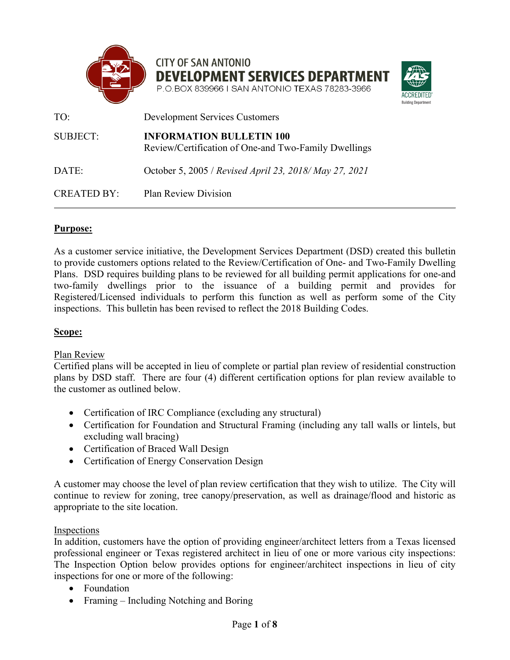

**CITY OF SAN ANTONIO DEVELOPMENT SERVICES DEPARTMENT** P.O.BOX 839966 I SAN ANTONIO TEXAS 78283-3966



| TO:                | <b>Development Services Customers</b>                                                   |
|--------------------|-----------------------------------------------------------------------------------------|
| <b>SUBJECT:</b>    | <b>INFORMATION BULLETIN 100</b><br>Review/Certification of One-and Two-Family Dwellings |
| DATE:              | October 5, 2005 / Revised April 23, 2018/May 27, 2021                                   |
| <b>CREATED BY:</b> | <b>Plan Review Division</b>                                                             |

### **Purpose:**

As a customer service initiative, the Development Services Department (DSD) created this bulletin to provide customers options related to the Review/Certification of One- and Two-Family Dwelling Plans. DSD requires building plans to be reviewed for all building permit applications for one-and two-family dwellings prior to the issuance of a building permit and provides for Registered/Licensed individuals to perform this function as well as perform some of the City inspections. This bulletin has been revised to reflect the 2018 Building Codes.

#### **Scope:**

Plan Review

Certified plans will be accepted in lieu of complete or partial plan review of residential construction plans by DSD staff. There are four (4) different certification options for plan review available to the customer as outlined below.

- Certification of IRC Compliance (excluding any structural)
- Certification for Foundation and Structural Framing (including any tall walls or lintels, but excluding wall bracing)
- Certification of Braced Wall Design
- Certification of Energy Conservation Design

A customer may choose the level of plan review certification that they wish to utilize. The City will continue to review for zoning, tree canopy/preservation, as well as drainage/flood and historic as appropriate to the site location.

#### Inspections

In addition, customers have the option of providing engineer/architect letters from a Texas licensed professional engineer or Texas registered architect in lieu of one or more various city inspections: The Inspection Option below provides options for engineer/architect inspections in lieu of city inspections for one or more of the following:

- Foundation
- Framing Including Notching and Boring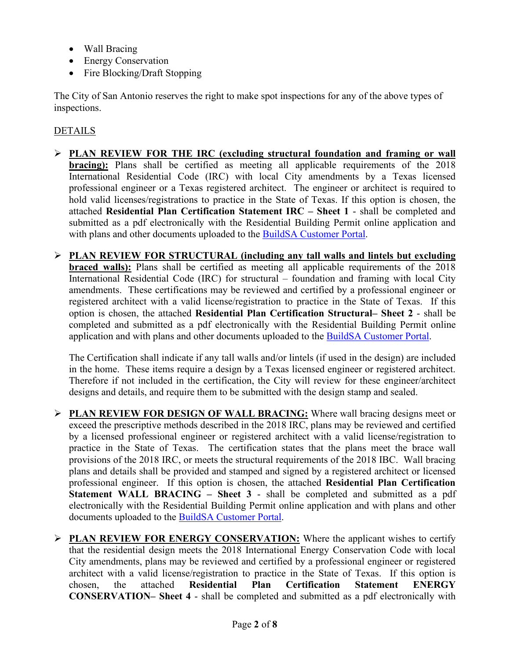- Wall Bracing
- Energy Conservation
- Fire Blocking/Draft Stopping

The City of San Antonio reserves the right to make spot inspections for any of the above types of inspections.

### DETAILS

- **PLAN REVIEW FOR THE IRC (excluding structural foundation and framing or wall bracing**): Plans shall be certified as meeting all applicable requirements of the 2018 International Residential Code (IRC) with local City amendments by a Texas licensed professional engineer or a Texas registered architect. The engineer or architect is required to hold valid licenses/registrations to practice in the State of Texas. If this option is chosen, the attached **Residential Plan Certification Statement IRC – Sheet 1** - shall be completed and submitted as a pdf electronically with the Residential Building Permit online application and with plans and other documents uploaded to the [BuildSA Customer Portal.](https://aca.sanantonio.gov/CitizenAccess/Welcome.aspx)
- **PLAN REVIEW FOR STRUCTURAL (including any tall walls and lintels but excluding braced walls):** Plans shall be certified as meeting all applicable requirements of the 2018 International Residential Code (IRC) for structural – foundation and framing with local City amendments. These certifications may be reviewed and certified by a professional engineer or registered architect with a valid license/registration to practice in the State of Texas. If this option is chosen, the attached **Residential Plan Certification Structural– Sheet 2** - shall be completed and submitted as a pdf electronically with the Residential Building Permit online application and with plans and other documents uploaded to the [BuildSA Customer Portal.](https://aca.sanantonio.gov/CitizenAccess/Welcome.aspx)

The Certification shall indicate if any tall walls and/or lintels (if used in the design) are included in the home. These items require a design by a Texas licensed engineer or registered architect. Therefore if not included in the certification, the City will review for these engineer/architect designs and details, and require them to be submitted with the design stamp and sealed.

- **PLAN REVIEW FOR DESIGN OF WALL BRACING:** Where wall bracing designs meet or exceed the prescriptive methods described in the 2018 IRC, plans may be reviewed and certified by a licensed professional engineer or registered architect with a valid license/registration to practice in the State of Texas. The certification states that the plans meet the brace wall provisions of the 2018 IRC, or meets the structural requirements of the 2018 IBC. Wall bracing plans and details shall be provided and stamped and signed by a registered architect or licensed professional engineer. If this option is chosen, the attached **Residential Plan Certification Statement WALL BRACING – Sheet 3** - shall be completed and submitted as a pdf electronically with the Residential Building Permit online application and with plans and other documents uploaded to the [BuildSA Customer Portal.](https://aca.sanantonio.gov/CitizenAccess/Welcome.aspx)
- **PLAN REVIEW FOR ENERGY CONSERVATION:** Where the applicant wishes to certify that the residential design meets the 2018 International Energy Conservation Code with local City amendments, plans may be reviewed and certified by a professional engineer or registered architect with a valid license/registration to practice in the State of Texas. If this option is chosen, the attached **Residential Plan Certification Statement ENERGY CONSERVATION– Sheet 4** - shall be completed and submitted as a pdf electronically with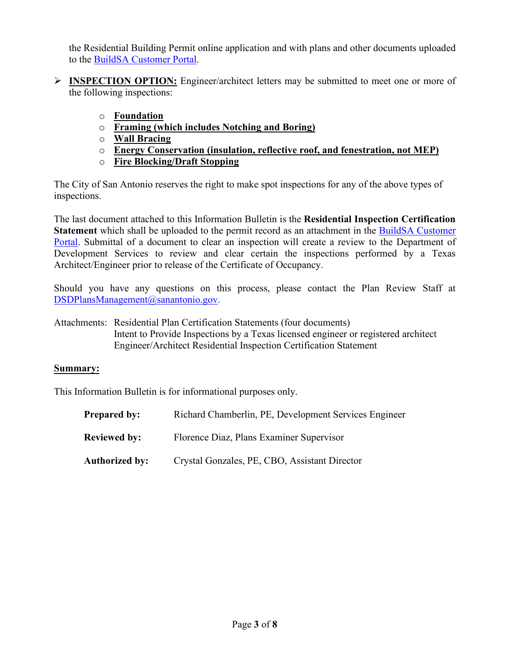the Residential Building Permit online application and with plans and other documents uploaded to the [BuildSA Customer Portal.](https://aca.sanantonio.gov/CitizenAccess/Welcome.aspx)

- **INSPECTION OPTION:** Engineer/architect letters may be submitted to meet one or more of the following inspections:
	- o **Foundation**
	- o **Framing (which includes Notching and Boring)**
	- o **Wall Bracing**
	- o **Energy Conservation (insulation, reflective roof, and fenestration, not MEP)**
	- o **Fire Blocking/Draft Stopping**

The City of San Antonio reserves the right to make spot inspections for any of the above types of inspections.

The last document attached to this Information Bulletin is the **Residential Inspection Certification Statement** which shall be uploaded to the permit record as an attachment in the BuildSA [Customer](https://aca.sanantonio.gov/CitizenAccess/Welcome.aspx)  [Portal.](https://aca.sanantonio.gov/CitizenAccess/Welcome.aspx) Submittal of a document to clear an inspection will create a review to the Department of Development Services to review and clear certain the inspections performed by a Texas Architect/Engineer prior to release of the Certificate of Occupancy.

Should you have any questions on this process, please contact the Plan Review Staff at [DSDPlansManagement@sanantonio.gov.](mailto:DSDPlansManagement@sanantonio.gov)

Attachments: Residential Plan Certification Statements (four documents) Intent to Provide Inspections by a Texas licensed engineer or registered architect Engineer/Architect Residential Inspection Certification Statement

#### **Summary:**

This Information Bulletin is for informational purposes only.

| <b>Prepared by:</b> | Richard Chamberlin, PE, Development Services Engineer |
|---------------------|-------------------------------------------------------|
| <b>Reviewed by:</b> | Florence Diaz, Plans Examiner Supervisor              |
| Authorized by:      | Crystal Gonzales, PE, CBO, Assistant Director         |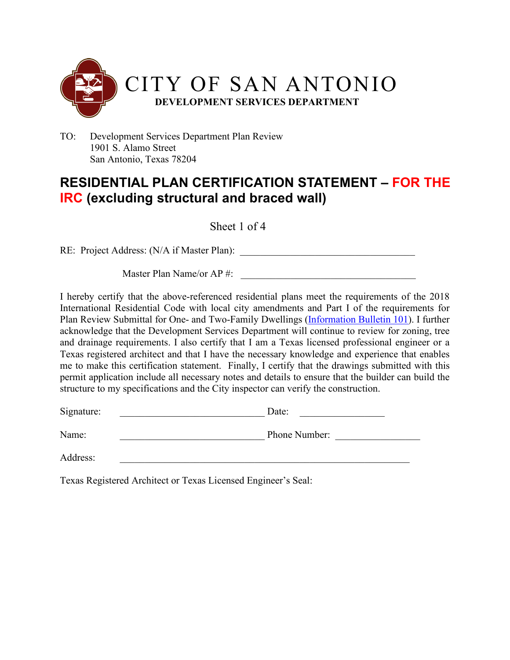

### **RESIDENTIAL PLAN CERTIFICATION STATEMENT – FOR THE IRC (excluding structural and braced wall)**

Sheet 1 of 4

RE: Project Address: (N/A if Master Plan): \_\_\_\_\_\_\_\_\_\_\_\_\_\_\_\_\_\_\_\_\_\_\_\_\_\_\_\_\_\_\_\_\_\_\_

Master Plan Name/or AP #:

I hereby certify that the above-referenced residential plans meet the requirements of the 2018 International Residential Code with local city amendments and Part I of the requirements for Plan Review Submittal for One- and Two-Family Dwellings [\(Information](http://docsonline.sanantonio.gov/FileUploads/dsd/IB101.pdf) Bulletin 101). I further acknowledge that the Development Services Department will continue to review for zoning, tree and drainage requirements. I also certify that I am a Texas licensed professional engineer or a Texas registered architect and that I have the necessary knowledge and experience that enables me to make this certification statement. Finally, I certify that the drawings submitted with this permit application include all necessary notes and details to ensure that the builder can build the structure to my specifications and the City inspector can verify the construction.

| Signature: | Date:         |
|------------|---------------|
| Name:      | Phone Number: |

Address: \_\_\_\_\_\_\_\_\_\_\_\_\_\_\_\_\_\_\_\_\_\_\_\_\_\_\_\_\_\_\_\_\_\_\_\_\_\_\_\_\_\_\_\_\_\_\_\_\_\_\_\_\_\_\_\_\_\_

Texas Registered Architect or Texas Licensed Engineer's Seal: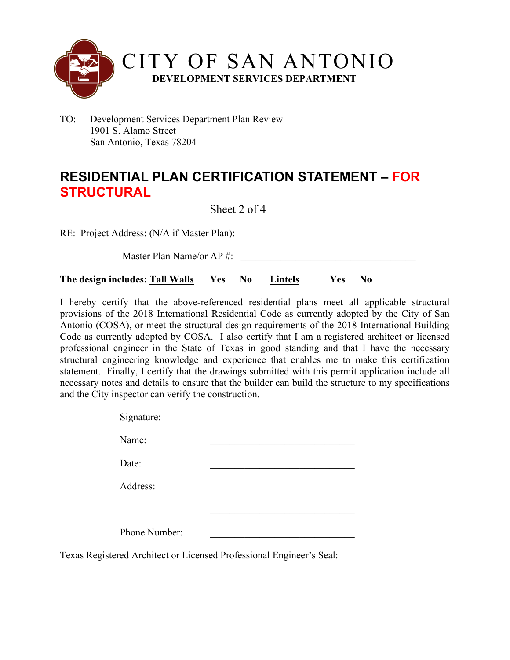

# **RESIDENTIAL PLAN CERTIFICATION STATEMENT – FOR STRUCTURAL**

Sheet 2 of 4

RE: Project Address: (N/A if Master Plan):

Master Plan Name/or AP #:

**The design includes: Tall Walls Yes No Lintels Yes No**

I hereby certify that the above-referenced residential plans meet all applicable structural provisions of the 2018 International Residential Code as currently adopted by the City of San Antonio (COSA), or meet the structural design requirements of the 2018 International Building Code as currently adopted by COSA. I also certify that I am a registered architect or licensed professional engineer in the State of Texas in good standing and that I have the necessary structural engineering knowledge and experience that enables me to make this certification statement. Finally, I certify that the drawings submitted with this permit application include all necessary notes and details to ensure that the builder can build the structure to my specifications and the City inspector can verify the construction.

| Signature:                                              |  |  |
|---------------------------------------------------------|--|--|
| Name:                                                   |  |  |
| Date:                                                   |  |  |
| Address:                                                |  |  |
|                                                         |  |  |
|                                                         |  |  |
| Phone Number:                                           |  |  |
| red Architect or Licensed Professional Engineer's Seal- |  |  |

Texas Registered Architect or Licensed Professional Engineer's Seal: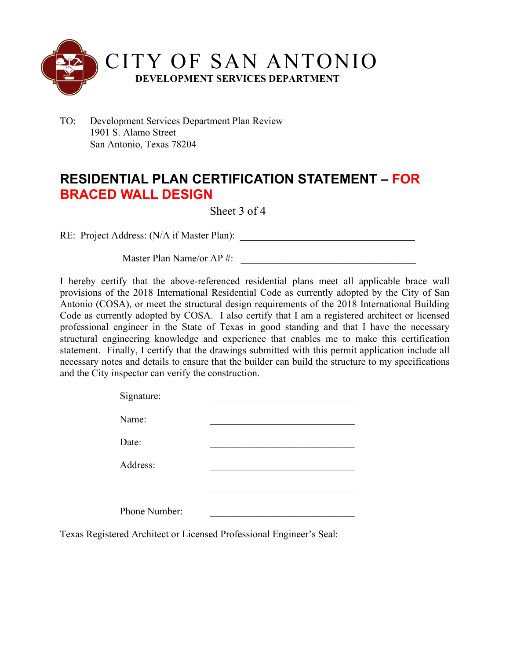

## **RESIDENTIAL PLAN CERTIFICATION STATEMENT – FOR BRACED WALL DESIGN**

### Sheet 3 of 4

RE: Project Address: (N/A if Master Plan): \_\_\_\_\_\_\_\_\_\_\_\_\_\_\_\_\_\_\_\_\_\_\_\_\_\_\_\_\_\_\_\_\_\_\_

Master Plan Name/or  $AP \#$ :

I hereby certify that the above-referenced residential plans meet all applicable brace wall provisions of the 2018 International Residential Code as currently adopted by the City of San Antonio (COSA), or meet the structural design requirements of the 2018 International Building Code as currently adopted by COSA. I also certify that I am a registered architect or licensed professional engineer in the State of Texas in good standing and that I have the necessary structural engineering knowledge and experience that enables me to make this certification statement. Finally, I certify that the drawings submitted with this permit application include all necessary notes and details to ensure that the builder can build the structure to my specifications and the City inspector can verify the construction.

| Signature:    |  |
|---------------|--|
| Name:         |  |
| Date:         |  |
| Address:      |  |
|               |  |
|               |  |
| Phone Number: |  |
|               |  |

Texas Registered Architect or Licensed Professional Engineer's Seal: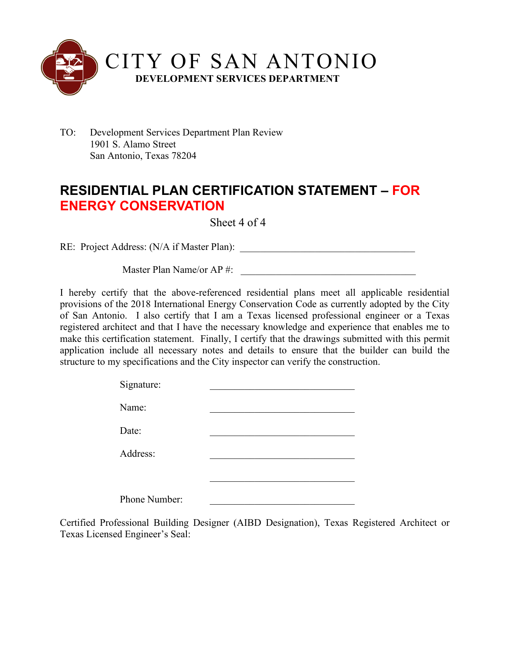

# **RESIDENTIAL PLAN CERTIFICATION STATEMENT – FOR ENERGY CONSERVATION**

Sheet 4 of 4

RE: Project Address: (N/A if Master Plan): \_\_\_\_\_\_\_\_\_\_\_\_\_\_\_\_\_\_\_\_\_\_\_\_\_\_\_\_\_\_\_\_\_\_\_

Master Plan Name/or AP  $\#$ :

I hereby certify that the above-referenced residential plans meet all applicable residential provisions of the 2018 International Energy Conservation Code as currently adopted by the City of San Antonio. I also certify that I am a Texas licensed professional engineer or a Texas registered architect and that I have the necessary knowledge and experience that enables me to make this certification statement. Finally, I certify that the drawings submitted with this permit application include all necessary notes and details to ensure that the builder can build the structure to my specifications and the City inspector can verify the construction.

| Signature:    |  |
|---------------|--|
| Name:         |  |
| Date:         |  |
| Address:      |  |
|               |  |
| Phone Number: |  |

Certified Professional Building Designer (AIBD Designation), Texas Registered Architect or Texas Licensed Engineer's Seal: